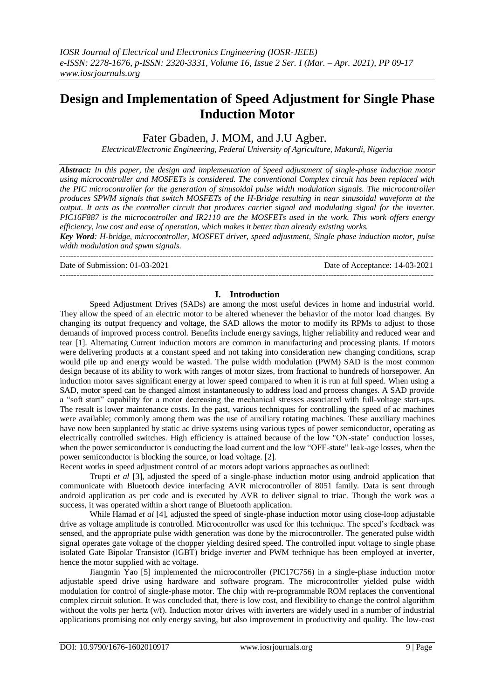# **Design and Implementation of Speed Adjustment for Single Phase Induction Motor**

Fater Gbaden, J. MOM, and J.U Agber.

*Electrical/Electronic Engineering, Federal University of Agriculture, Makurdi, Nigeria*

*Abstract: In this paper, the design and implementation of Speed adjustment of single-phase induction motor using microcontroller and MOSFETs is considered. The conventional Complex circuit has been replaced with the PIC microcontroller for the generation of sinusoidal pulse width modulation signals. The microcontroller produces SPWM signals that switch MOSFETs of the H-Bridge resulting in near sinusoidal waveform at the output. It acts as the controller circuit that produces carrier signal and modulating signal for the inverter. PIC16F887 is the microcontroller and IR2110 are the MOSFETs used in the work. This work offers energy efficiency, low cost and ease of operation, which makes it better than already existing works.*

*Key Word: H-bridge, microcontroller, MOSFET driver, speed adjustment, Single phase induction motor, pulse width modulation and spwm signals.*

---------------------------------------------------------------------------------------------------------------------------------------

Date of Submission: 01-03-2021 Date of Acceptance: 14-03-2021

# **I. Introduction**

---------------------------------------------------------------------------------------------------------------------------------------

Speed Adjustment Drives (SADs) are among the most useful devices in home and industrial world. They allow the speed of an electric motor to be altered whenever the behavior of the motor load changes. By changing its output frequency and voltage, the SAD allows the motor to modify its RPMs to adjust to those demands of improved process control. Benefits include energy savings, higher reliability and reduced wear and tear [1]. Alternating Current induction motors are common in manufacturing and processing plants. If motors were delivering products at a constant speed and not taking into consideration new changing conditions, scrap would pile up and energy would be wasted. The pulse width modulation (PWM) SAD is the most common design because of its ability to work with ranges of motor sizes, from fractional to hundreds of horsepower. An induction motor saves significant energy at lower speed compared to when it is run at full speed. When using a SAD, motor speed can be changed almost instantaneously to address load and process changes. A SAD provide a "soft start" capability for a motor decreasing the mechanical stresses associated with full-voltage start-ups. The result is lower maintenance costs. In the past, various techniques for controlling the speed of ac machines were available; commonly among them was the use of auxiliary rotating machines. These auxiliary machines have now been supplanted by static ac drive systems using various types of power semiconductor, operating as electrically controlled switches. High efficiency is attained because of the low "ON-state'' conduction losses, when the power semiconductor is conducting the load current and the low "OFF-state" leak-age losses, when the power semiconductor is blocking the source, or load voltage. [2].

Recent works in speed adjustment control of ac motors adopt various approaches as outlined:

Trupti *et al* [3], adjusted the speed of a single-phase induction motor using android application that communicate with Bluetooth device interfacing AVR microcontroller of 8051 family. Data is sent through android application as per code and is executed by AVR to deliver signal to triac. Though the work was a success, it was operated within a short range of Bluetooth application.

While Hamad *et al* [4], adjusted the speed of single-phase induction motor using close-loop adjustable drive as voltage amplitude is controlled. Microcontroller was used for this technique. The speed's feedback was sensed, and the appropriate pulse width generation was done by the microcontroller. The generated pulse width signal operates gate voltage of the chopper yielding desired speed. The controlled input voltage to single phase isolated Gate Bipolar Transistor (lGBT) bridge inverter and PWM technique has been employed at inverter, hence the motor supplied with ac voltage.

Jiangmin Yao [5] implemented the microcontroller (PIC17C756) in a single-phase induction motor adjustable speed drive using hardware and software program. The microcontroller yielded pulse width modulation for control of single-phase motor. The chip with re-programmable ROM replaces the conventional complex circuit solution. It was concluded that, there is low cost, and flexibility to change the control algorithm without the volts per hertz (v/f). Induction motor drives with inverters are widely used in a number of industrial applications promising not only energy saving, but also improvement in productivity and quality. The low-cost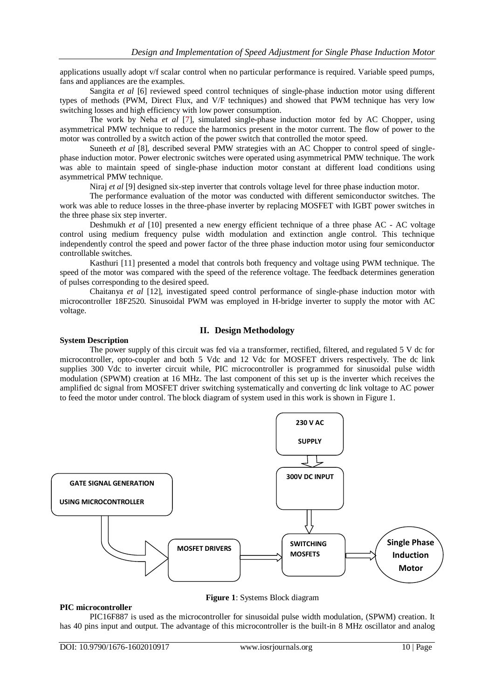applications usually adopt v/f scalar control when no particular performance is required. Variable speed pumps, fans and appliances are the examples.

Sangita *et al* [6] reviewed speed control techniques of single-phase induction motor using different types of methods (PWM, Direct Flux, and V/F techniques) and showed that PWM technique has very low switching losses and high efficiency with low power consumption.

The work by Neha *et al* [7], simulated single-phase induction motor fed by AC Chopper, using asymmetrical PMW technique to reduce the harmonics present in the motor current. The flow of power to the motor was controlled by a switch action of the power switch that controlled the motor speed.

Suneeth *et al* [8], described several PMW strategies with an AC Chopper to control speed of singlephase induction motor. Power electronic switches were operated using asymmetrical PMW technique. The work was able to maintain speed of single-phase induction motor constant at different load conditions using asymmetrical PMW technique.

Niraj *et al* [9] designed six-step inverter that controls voltage level for three phase induction motor.

The performance evaluation of the motor was conducted with different semiconductor switches. The work was able to reduce losses in the three-phase inverter by replacing MOSFET with IGBT power switches in the three phase six step inverter.

Deshmukh *et al* [10] presented a new energy efficient technique of a three phase AC - AC voltage control using medium frequency pulse width modulation and extinction angle control. This technique independently control the speed and power factor of the three phase induction motor using four semiconductor controllable switches.

Kasthuri [11] presented a model that controls both frequency and voltage using PWM technique. The speed of the motor was compared with the speed of the reference voltage. The feedback determines generation of pulses corresponding to the desired speed.

Chaitanya *et al* [12], investigated speed control performance of single-phase induction motor with microcontroller 18F2520. Sinusoidal PWM was employed in H-bridge inverter to supply the motor with AC voltage.

# **II. Design Methodology**

# **System Description**

The power supply of this circuit was fed via a transformer, rectified, filtered, and regulated 5 V dc for microcontroller, opto-coupler and both 5 Vdc and 12 Vdc for MOSFET drivers respectively. The dc link supplies 300 Vdc to inverter circuit while, PIC microcontroller is programmed for sinusoidal pulse width modulation (SPWM) creation at 16 MHz. The last component of this set up is the inverter which receives the amplified dc signal from MOSFET driver switching systematically and converting dc link voltage to AC power to feed the motor under control. The block diagram of system used in this work is shown in Figure 1.



**Figure 1**: Systems Block diagram

#### **PIC microcontroller**

PIC16F887 is used as the microcontroller for sinusoidal pulse width modulation, (SPWM) creation. It has 40 pins input and output. The advantage of this microcontroller is the built-in 8 MHz oscillator and analog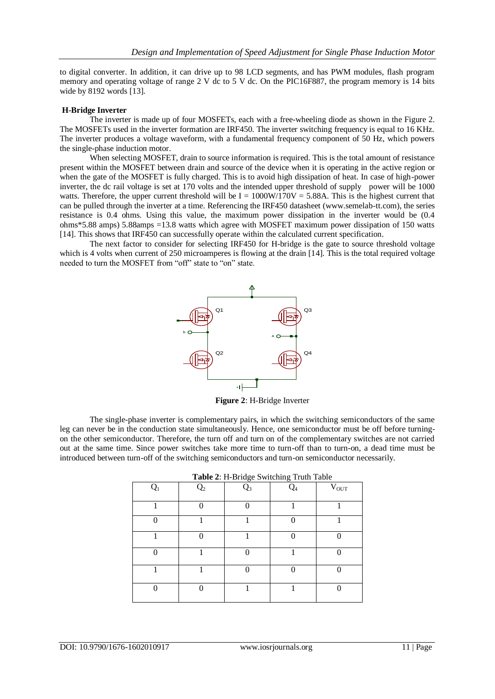to digital converter. In addition, it can drive up to 98 LCD segments, and has PWM modules, flash program memory and operating voltage of range 2 V dc to 5 V dc. On the PIC16F887, the program memory is 14 bits wide by 8192 words [13].

#### **H-Bridge Inverter**

The inverter is made up of four MOSFETs, each with a free-wheeling diode as shown in the Figure 2. The MOSFETs used in the inverter formation are IRF450. The inverter switching frequency is equal to 16 KHz. The inverter produces a voltage waveform, with a fundamental frequency component of 50 Hz, which powers the single-phase induction motor.

When selecting MOSFET, drain to source information is required. This is the total amount of resistance present within the MOSFET between drain and source of the device when it is operating in the active region or when the gate of the MOSFET is fully charged. This is to avoid high dissipation of heat. In case of high-power inverter, the dc rail voltage is set at 170 volts and the intended upper threshold of supply power will be 1000 watts. Therefore, the upper current threshold will be  $I = 1000W/170V = 5.88A$ . This is the highest current that can be pulled through the inverter at a time. Referencing the IRF450 datasheet (www.semelab-tt.com), the series resistance is 0.4 ohms. Using this value, the maximum power dissipation in the inverter would be (0.4 ohms\*5.88 amps) 5.88amps =13.8 watts which agree with MOSFET maximum power dissipation of 150 watts [14]. This shows that IRF450 can successfully operate within the calculated current specification.

The next factor to consider for selecting IRF450 for H-bridge is the gate to source threshold voltage which is 4 volts when current of 250 microamperes is flowing at the drain [14]. This is the total required voltage needed to turn the MOSFET from "off" state to "on" state.



**Figure 2**: H-Bridge Inverter

The single-phase inverter is complementary pairs, in which the switching semiconductors of the same leg can never be in the conduction state simultaneously. Hence, one semiconductor must be off before turningon the other semiconductor. Therefore, the turn off and turn on of the complementary switches are not carried out at the same time. Since power switches take more time to turn-off than to turn-on, a dead time must be introduced between turn-off of the switching semiconductors and turn-on semiconductor necessarily.

| <b>Tuble 2.</b> If Bridge b milling from fuble |                |       |       |                 |  |
|------------------------------------------------|----------------|-------|-------|-----------------|--|
| $Q_1$                                          | Q <sub>2</sub> | $Q_3$ | $Q_4$ | $\bar{V}_{OUT}$ |  |
|                                                |                |       |       |                 |  |
|                                                |                |       | ∩     |                 |  |
|                                                |                |       |       |                 |  |
|                                                |                |       |       |                 |  |
|                                                |                | ⋂     | ∩     |                 |  |
| $\Omega$                                       | ∩              |       |       | ∩               |  |

|  |  |  | Table 2: H-Bridge Switching Truth Table |  |
|--|--|--|-----------------------------------------|--|
|  |  |  |                                         |  |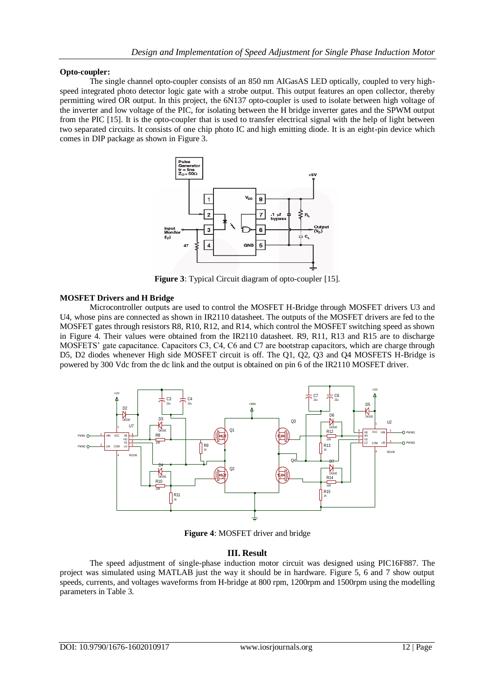### **Opto-coupler:**

The single channel opto-coupler consists of an 850 nm AIGasAS LED optically, coupled to very highspeed integrated photo detector logic gate with a strobe output. This output features an open collector, thereby permitting wired OR output. In this project, the 6N137 opto-coupler is used to isolate between high voltage of the inverter and low voltage of the PIC, for isolating between the H bridge inverter gates and the SPWM output from the PIC [15]. It is the opto-coupler that is used to transfer electrical signal with the help of light between two separated circuits. It consists of one chip photo IC and high emitting diode. It is an eight-pin device which comes in DIP package as shown in Figure 3.



**Figure 3**: Typical Circuit diagram of opto-coupler [15].

### **MOSFET Drivers and H Bridge**

Microcontroller outputs are used to control the MOSFET H-Bridge through MOSFET drivers U3 and U4, whose pins are connected as shown in IR2110 datasheet. The outputs of the MOSFET drivers are fed to the MOSFET gates through resistors R8, R10, R12, and R14, which control the MOSFET switching speed as shown in Figure 4. Their values were obtained from the IR2110 datasheet. R9, R11, R13 and R15 are to discharge MOSFETS' gate capacitance. Capacitors C3, C4, C6 and C7 are bootstrap capacitors, which are charge through D5, D2 diodes whenever High side MOSFET circuit is off. The Q1, Q2, Q3 and Q4 MOSFETS H-Bridge is powered by 300 Vdc from the dc link and the output is obtained on pin 6 of the IR2110 MOSFET driver.



**Figure 4**: MOSFET driver and bridge

# **III. Result**

The speed adjustment of single-phase induction motor circuit was designed using PIC16F887. The project was simulated using MATLAB just the way it should be in hardware. Figure 5, 6 and 7 show output speeds, currents, and voltages waveforms from H-bridge at 800 rpm, 1200rpm and 1500rpm using the modelling parameters in Table 3.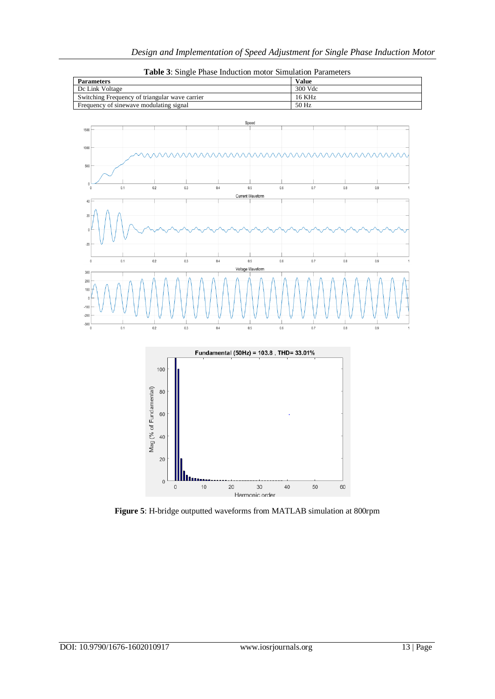

 $0.5$ 

Voltage Waveform

 $0.5$ 

 $0.6$ 

 $0.6$ 

 $0.7$ 

 $0.7$ 

 $0.8$ 

 $0.8$ 

 $\overline{0.9}$ 

 $0.9$ 

**Table 3**: Single Phase Induction motor Simulation Parameters



**Figure 5**: H-bridge outputted waveforms from MATLAB simulation at 800rpm

 $\overline{0}$ 

 $0.1$ 

300  $200$  $10$ 

 $-20$  $-30$   $0.2$ 

 $0.2$ 

 $0.3$ 

 $0.3$ 

 $0.4$ 

 $0.4$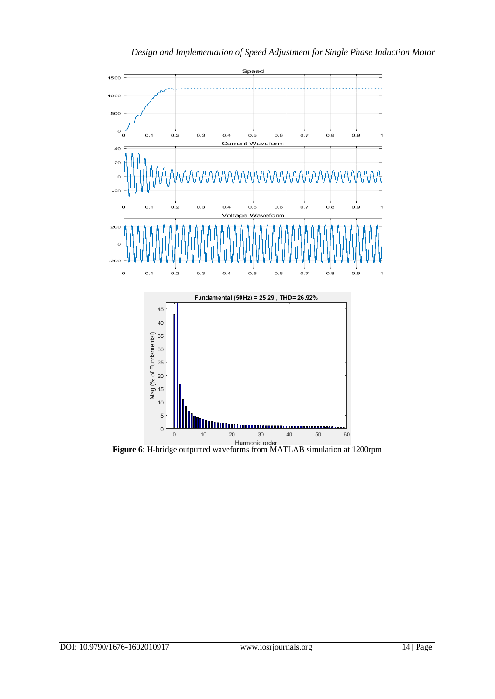

**Figure 6**: H-bridge outputted waveforms from MATLAB simulation at 1200rpm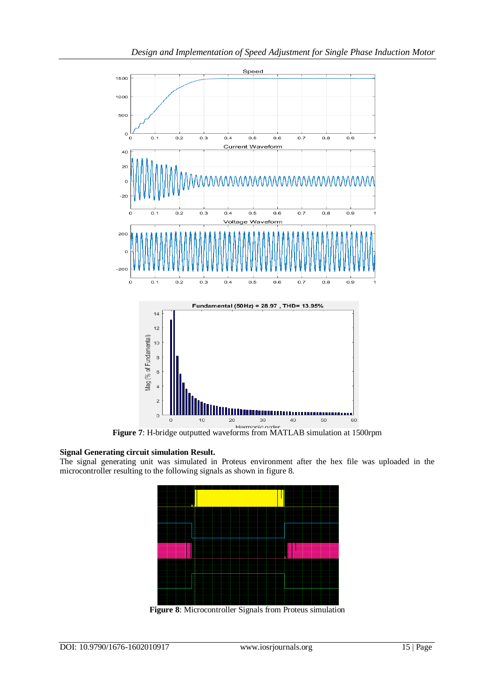

**Figure 7**: H-bridge outputted waveforms from MATLAB simulation at 1500rpm

# **Signal Generating circuit simulation Result.**

The signal generating unit was simulated in Proteus environment after the hex file was uploaded in the microcontroller resulting to the following signals as shown in figure 8.



**Figure 8**: Microcontroller Signals from Proteus simulation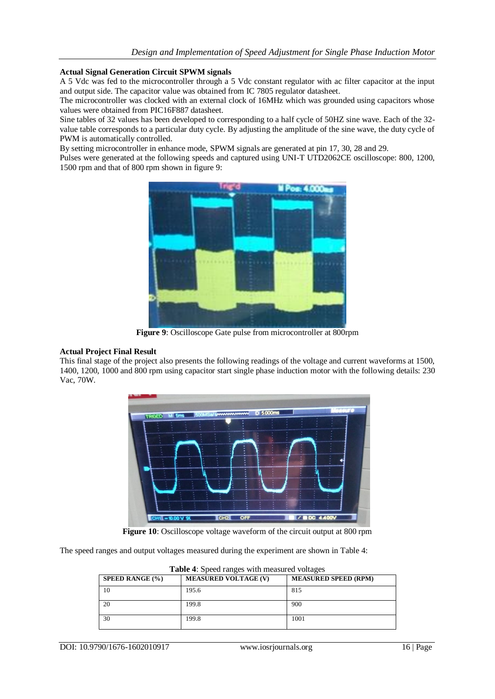#### **Actual Signal Generation Circuit SPWM signals**

A 5 Vdc was fed to the microcontroller through a 5 Vdc constant regulator with ac filter capacitor at the input and output side. The capacitor value was obtained from IC 7805 regulator datasheet.

The microcontroller was clocked with an external clock of 16MHz which was grounded using capacitors whose values were obtained from PIC16F887 datasheet.

Sine tables of 32 values has been developed to corresponding to a half cycle of 50HZ sine wave. Each of the 32 value table corresponds to a particular duty cycle. By adjusting the amplitude of the sine wave, the duty cycle of PWM is automatically controlled.

By setting microcontroller in enhance mode, SPWM signals are generated at pin 17, 30, 28 and 29.

Pulses were generated at the following speeds and captured using UNI-T UTD2062CE oscilloscope: 800, 1200, 1500 rpm and that of 800 rpm shown in figure 9:



**Figure 9**: Oscilloscope Gate pulse from microcontroller at 800rpm

#### **Actual Project Final Result**

This final stage of the project also presents the following readings of the voltage and current waveforms at 1500, 1400, 1200, 1000 and 800 rpm using capacitor start single phase induction motor with the following details: 230 Vac, 70W.



**Figure 10**: Oscilloscope voltage waveform of the circuit output at 800 rpm

The speed ranges and output voltages measured during the experiment are shown in Table 4:

| <b>SPEED RANGE (%)</b> | <b>MEASURED VOLTAGE (V)</b> | <b>MEASURED SPEED (RPM)</b> |
|------------------------|-----------------------------|-----------------------------|
| 10                     | 195.6                       | 815                         |
| 20                     | 199.8                       | 900                         |
| 30                     | 199.8                       | 1001                        |

Table 4: Speed ranges with measured voltages